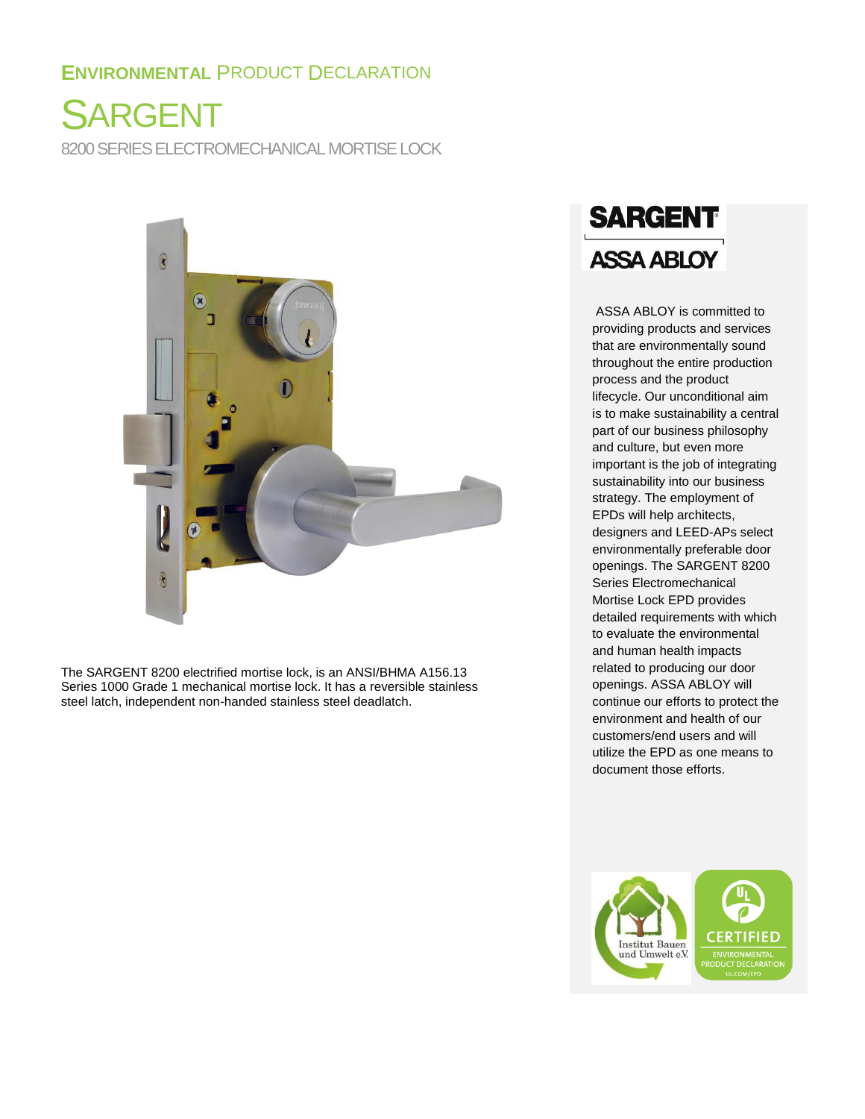## **ENVIRONMENTAL** PRODUCT DECLARATION

SARGENT 8200 SERIES ELECTROMECHANICAL MORTISE LOCK



The SARGENT 8200 electrified mortise lock, is an ANSI/BHMA A156.13 Series 1000 Grade 1 mechanical mortise lock. It has a reversible stainless steel latch, independent non-handed stainless steel deadlatch.

# **SARGENT ASSA ABLOY**

ASSA ABLOY is committed to providing products and services that are environmentally sound throughout the entire production process and the product lifecycle. Our unconditional aim is to make sustainability a central part of our business philosophy and culture, but even more important is the job of integrating sustainability into our business strategy. The employment of EPDs will help architects, designers and LEED-APs select environmentally preferable door openings. The SARGENT 8200 Series Electromechanical Mortise Lock EPD provides detailed requirements with which to evaluate the environmental and human health impacts related to producing our door openings. ASSA ABLOY will continue our efforts to protect the environment and health of our customers/end users and will utilize the EPD as one means to document those efforts.

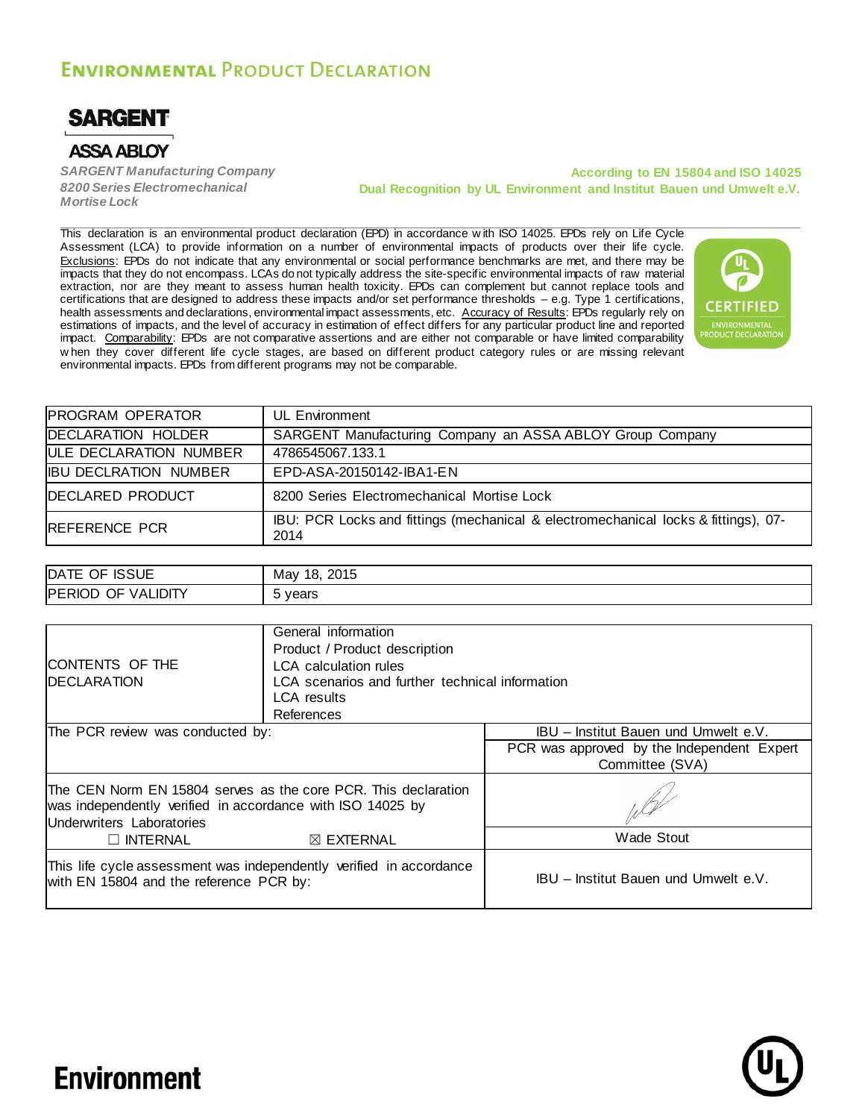## **ENVIRONMENTAL PRODUCT DECLARATION**



## **ASSA ABLOY**

*SARGENT Manufacturing Company 8200 Series Electromechanical Mortise Lock*

#### **According to EN 15804 and ISO 14025 Dual Recognition by UL Environment and Institut Bauen und Umwelt e.V.**

This declaration is an environmental product declaration (EPD) in accordance w ith ISO 14025. EPDs rely on Life Cycle Assessment (LCA) to provide information on a number of environmental impacts of products over their life cycle. Exclusions: EPDs do not indicate that any environmental or social performance benchmarks are met, and there may be impacts that they do not encompass. LCAs do not typically address the site-specific environmental impacts of raw material extraction, nor are they meant to assess human health toxicity. EPDs can complement but cannot replace tools and certifications that are designed to address these impacts and/or set performance thresholds – e.g. Type 1 certifications, health assessments and declarations, environmental impact assessments, etc. Accuracy of Results: EPDs regularly rely on estimations of impacts, and the level of accuracy in estimation of effect differs for any particular product line and reported impact. Comparability: EPDs are not comparative assertions and are either not comparable or have limited comparability w hen they cover different life cycle stages, are based on different product category rules or are missing relevant environmental impacts. EPDs from different programs may not be comparable.



| <b>PROGRAM OPERATOR</b>      | UL Environment                                                                             |
|------------------------------|--------------------------------------------------------------------------------------------|
| <b>DECLARATION HOLDER</b>    | SARGENT Manufacturing Company an ASSA ABLOY Group Company                                  |
| ULE DECLARATION NUMBER       | 4786545067.133.1                                                                           |
| <b>IBU DECLRATION NUMBER</b> | EPD-ASA-20150142-IBA1-EN                                                                   |
| <b>DECLARED PRODUCT</b>      | 8200 Series Electromechanical Mortise Lock                                                 |
| <b>REFERENCE PCR</b>         | IBU: PCR Locks and fittings (mechanical & electromechanical locks & fittings), 07-<br>2014 |

| <b>ISSUE</b>                     | Mav        |
|----------------------------------|------------|
| DATE                             | 2015       |
| OF                               | 18.        |
| VALIDITY<br><b>PERIOD</b><br>OF. | vears<br>ັ |

|                                                                                                                                                           | General information                             |                                            |  |
|-----------------------------------------------------------------------------------------------------------------------------------------------------------|-------------------------------------------------|--------------------------------------------|--|
|                                                                                                                                                           | Product / Product description                   |                                            |  |
| <b>CONTENTS OF THE</b>                                                                                                                                    | <b>LCA</b> calculation rules                    |                                            |  |
| <b>DECLARATION</b>                                                                                                                                        | LCA scenarios and further technical information |                                            |  |
|                                                                                                                                                           | LCA results                                     |                                            |  |
|                                                                                                                                                           | References                                      |                                            |  |
| The PCR review was conducted by:                                                                                                                          |                                                 | IBU - Institut Bauen und Umwelt e.V.       |  |
|                                                                                                                                                           |                                                 | PCR was approved by the Independent Expert |  |
|                                                                                                                                                           |                                                 | Committee (SVA)                            |  |
| The CEN Norm EN 15804 serves as the core PCR. This declaration<br>was independently verified in accordance with ISO 14025 by<br>Underwriters Laboratories |                                                 |                                            |  |
| $\Box$ INTERNAL                                                                                                                                           | $\boxtimes$ EXTERNAL                            | Wade Stout                                 |  |
| This life cycle assessment was independently verified in accordance<br>with EN 15804 and the reference PCR by:                                            |                                                 | IBU - Institut Bauen und Umwelt e.V.       |  |



## **Environment**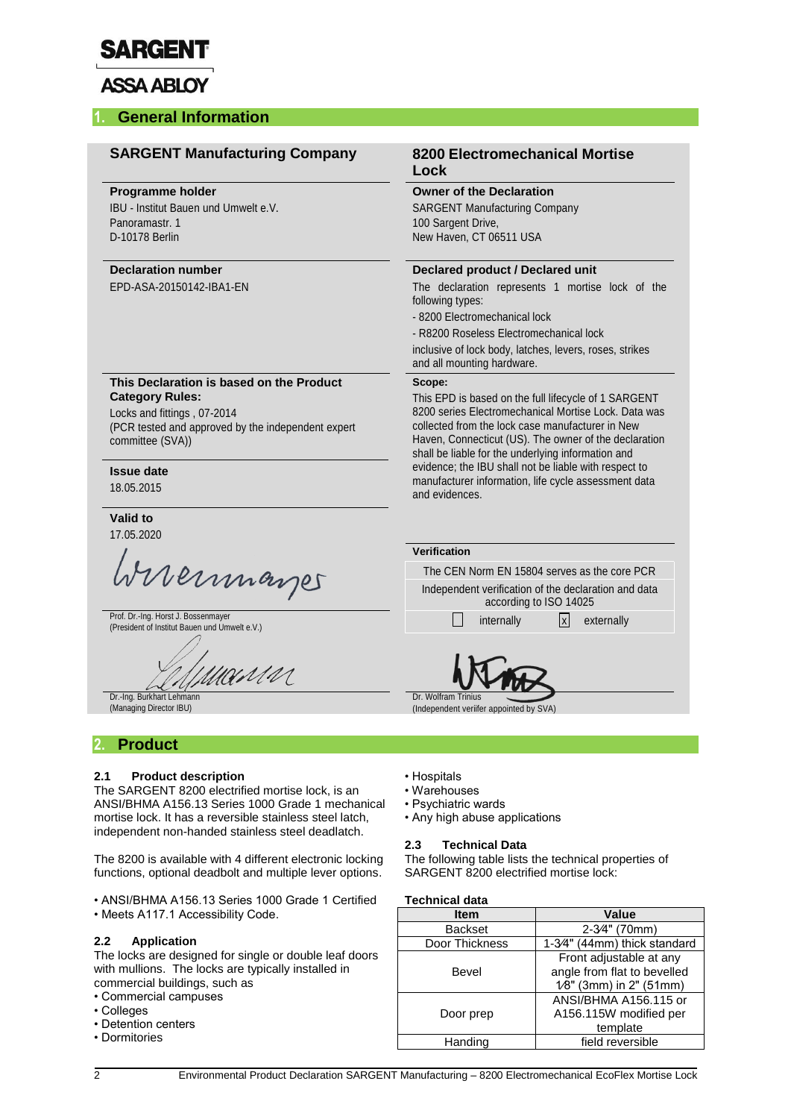

## **ASSA ABLOY**

### **1. General Information**

| <b>SARGENT Manufacturing Company</b>                                                                                                                                        | <b>8200 Electromechanical Mortise</b><br>Lock                                                                                                                                                                                                                                             |  |  |
|-----------------------------------------------------------------------------------------------------------------------------------------------------------------------------|-------------------------------------------------------------------------------------------------------------------------------------------------------------------------------------------------------------------------------------------------------------------------------------------|--|--|
| <b>Programme holder</b><br>IBU - Institut Bauen und Umwelt e.V.<br>Panoramastr. 1<br>D-10178 Berlin                                                                         | <b>Owner of the Declaration</b><br><b>SARGENT Manufacturing Company</b><br>100 Sargent Drive,<br>New Haven, CT 06511 USA                                                                                                                                                                  |  |  |
| <b>Declaration number</b>                                                                                                                                                   | Declared product / Declared unit                                                                                                                                                                                                                                                          |  |  |
| EPD-ASA-20150142-IBA1-EN                                                                                                                                                    | The declaration represents 1 mortise lock of the<br>following types:<br>- 8200 Electromechanical lock<br>- R8200 Roseless Electromechanical lock<br>inclusive of lock body, latches, levers, roses, strikes<br>and all mounting hardware.                                                 |  |  |
| This Declaration is based on the Product<br><b>Category Rules:</b><br>Locks and fittings, 07-2014<br>(PCR tested and approved by the independent expert<br>committee (SVA)) | Scope:<br>This EPD is based on the full lifecycle of 1 SARGENT<br>8200 series Electromechanical Mortise Lock. Data was<br>collected from the lock case manufacturer in New<br>Haven, Connecticut (US). The owner of the declaration<br>shall be liable for the underlying information and |  |  |
| <b>Issue date</b><br>18.05.2015                                                                                                                                             | evidence; the IBU shall not be liable with respect to<br>manufacturer information, life cycle assessment data<br>and evidences.                                                                                                                                                           |  |  |
| Valid to                                                                                                                                                                    |                                                                                                                                                                                                                                                                                           |  |  |
| 17.05.2020                                                                                                                                                                  | Verification                                                                                                                                                                                                                                                                              |  |  |
|                                                                                                                                                                             | The CEN Norm EN 15804 serves as the core PCR                                                                                                                                                                                                                                              |  |  |
| Wireinmarger                                                                                                                                                                | Independent verification of the declaration and data<br>according to ISO 14025                                                                                                                                                                                                            |  |  |
| Prof. Dr.-Ing. Horst J. Bossenmayer<br>(President of Institut Bauen und Umwelt e.V.)                                                                                        | x <br>internally<br>externally                                                                                                                                                                                                                                                            |  |  |
| INMM                                                                                                                                                                        |                                                                                                                                                                                                                                                                                           |  |  |
|                                                                                                                                                                             | Dr. Wolfram Trinius                                                                                                                                                                                                                                                                       |  |  |

## **2.1 Product description**

The SARGENT 8200 electrified mortise lock, is an ANSI/BHMA A156.13 Series 1000 Grade 1 mechanical mortise lock. It has a reversible stainless steel latch, independent non-handed stainless steel deadlatch.

The 8200 is available with 4 different electronic locking functions, optional deadbolt and multiple lever options.

• ANSI/BHMA A156.13 Series 1000 Grade 1 Certified • Meets A117.1 Accessibility Code.

#### **2.2 Application**

The locks are designed for single or double leaf doors with mullions. The locks are typically installed in commercial buildings, such as

- Commercial campuses
- Colleges
- Detention centers
- Dormitories
- Hospitals
- Warehouses
- Psychiatric wards
- Any high abuse applications

#### **2.3 Technical Data**

The following table lists the technical properties of SARGENT 8200 electrified mortise lock:

#### **Technical data**

| <b>Item</b>    | Value                        |
|----------------|------------------------------|
| <b>Backset</b> | 2-3⁄4" (70mm)                |
| Door Thickness | 1-3⁄4" (44mm) thick standard |
|                | Front adjustable at any      |
| Bevel          | angle from flat to bevelled  |
|                | 1⁄8" (3mm) in 2" (51mm)      |
|                | ANSI/BHMA A156.115 or        |
| Door prep      | A156.115W modified per       |
|                | template                     |
| Handing        | field reversible             |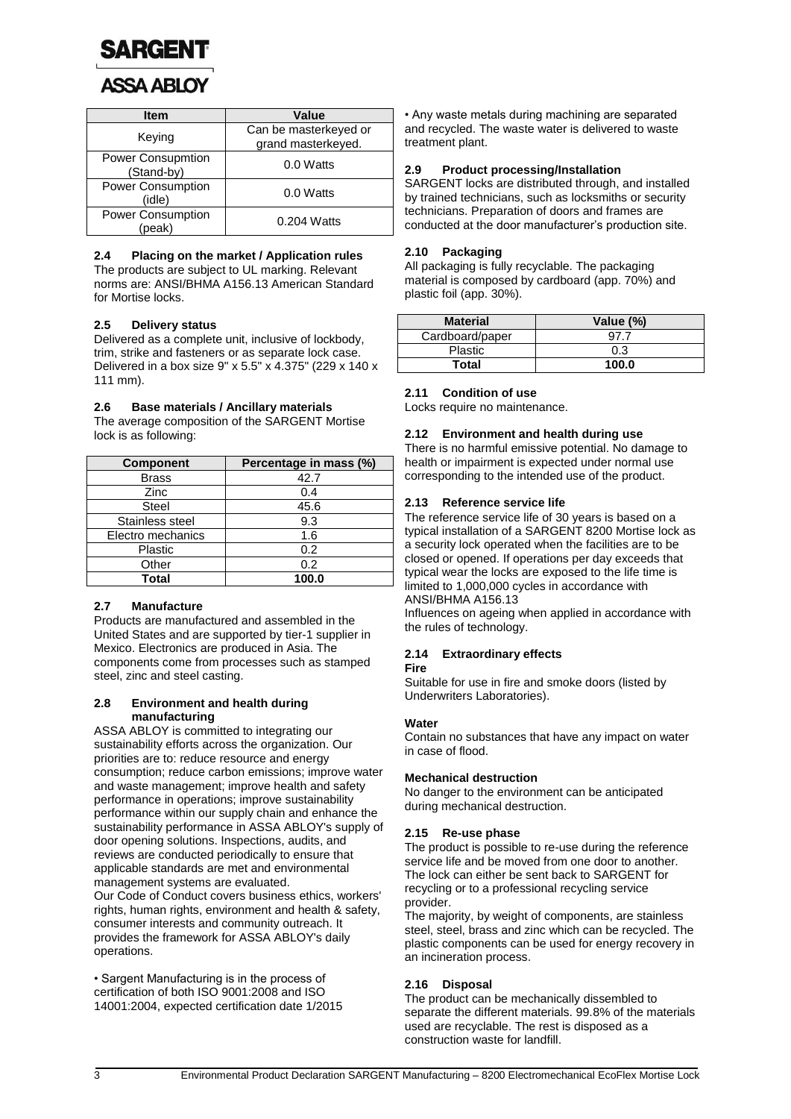

| <b>Item</b>                        | <b>Value</b>                                |
|------------------------------------|---------------------------------------------|
| Keying                             | Can be masterkeyed or<br>grand masterkeyed. |
| Power Consupmtion<br>(Stand-by)    | 0.0 Watts                                   |
| Power Consumption<br>(idle)        | 0.0 Watts                                   |
| <b>Power Consumption</b><br>'peak) | 0.204 Watts                                 |

#### **2.4 Placing on the market / Application rules**

The products are subject to UL marking. Relevant norms are: ANSI/BHMA A156.13 American Standard for Mortise locks.

#### **2.5 Delivery status**

Delivered as a complete unit, inclusive of lockbody, trim, strike and fasteners or as separate lock case. Delivered in a box size 9" x 5.5" x 4.375" (229 x 140 x 111 mm).

#### **2.6 Base materials / Ancillary materials**

The average composition of the SARGENT Mortise lock is as following:

| <b>Component</b>  | Percentage in mass (%) |
|-------------------|------------------------|
| <b>Brass</b>      | 42.7                   |
| Zinc              | 0.4                    |
| <b>Steel</b>      | 45.6                   |
| Stainless steel   | 9.3                    |
| Electro mechanics | 1.6                    |
| Plastic           | 0.2                    |
| Other             | 0.2                    |
| Total             | 100.0                  |

#### **2.7 Manufacture**

Products are manufactured and assembled in the United States and are supported by tier-1 supplier in Mexico. Electronics are produced in Asia. The components come from processes such as stamped steel, zinc and steel casting.

#### **2.8 Environment and health during manufacturing**

ASSA ABLOY is committed to integrating our sustainability efforts across the organization. Our priorities are to: reduce resource and energy consumption; reduce carbon emissions; improve water and waste management; improve health and safety performance in operations; improve sustainability performance within our supply chain and enhance the sustainability performance in ASSA ABLOY's supply of door opening solutions. Inspections, audits, and reviews are conducted periodically to ensure that applicable standards are met and environmental management systems are evaluated. Our Code of Conduct covers business ethics, workers' rights, human rights, environment and health & safety, consumer interests and community outreach. It provides the framework for ASSA ABLOY's daily operations.

• Sargent Manufacturing is in the process of certification of both ISO 9001:2008 and ISO 14001:2004, expected certification date 1/2015 • Any waste metals during machining are separated and recycled. The waste water is delivered to waste treatment plant.

#### **2.9 Product processing/Installation**

SARGENT locks are distributed through, and installed by trained technicians, such as locksmiths or security technicians. Preparation of doors and frames are conducted at the door manufacturer's production site.

#### **2.10 Packaging**

All packaging is fully recyclable. The packaging material is composed by cardboard (app. 70%) and plastic foil (app. 30%).

| <b>Material</b> | Value (%) |
|-----------------|-----------|
| Cardboard/paper |           |
| <b>Plastic</b>  | 0.3       |
| Total           | 100.0     |

#### **2.11 Condition of use**

Locks require no maintenance.

#### **2.12 Environment and health during use**

There is no harmful emissive potential. No damage to health or impairment is expected under normal use corresponding to the intended use of the product.

#### **2.13 Reference service life**

The reference service life of 30 years is based on a typical installation of a SARGENT 8200 Mortise lock as a security lock operated when the facilities are to be closed or opened. If operations per day exceeds that typical wear the locks are exposed to the life time is limited to 1,000,000 cycles in accordance with ANSI/BHMA A156.13

Influences on ageing when applied in accordance with the rules of technology.

#### **2.14 Extraordinary effects Fire**

Suitable for use in fire and smoke doors (listed by Underwriters Laboratories).

#### **Water**

Contain no substances that have any impact on water in case of flood.

#### **Mechanical destruction**

No danger to the environment can be anticipated during mechanical destruction.

#### **2.15 Re-use phase**

The product is possible to re-use during the reference service life and be moved from one door to another. The lock can either be sent back to SARGENT for recycling or to a professional recycling service provider.

The majority, by weight of components, are stainless steel, steel, brass and zinc which can be recycled. The plastic components can be used for energy recovery in an incineration process.

#### **2.16 Disposal**

The product can be mechanically dissembled to separate the different materials. 99.8% of the materials used are recyclable. The rest is disposed as a construction waste for landfill.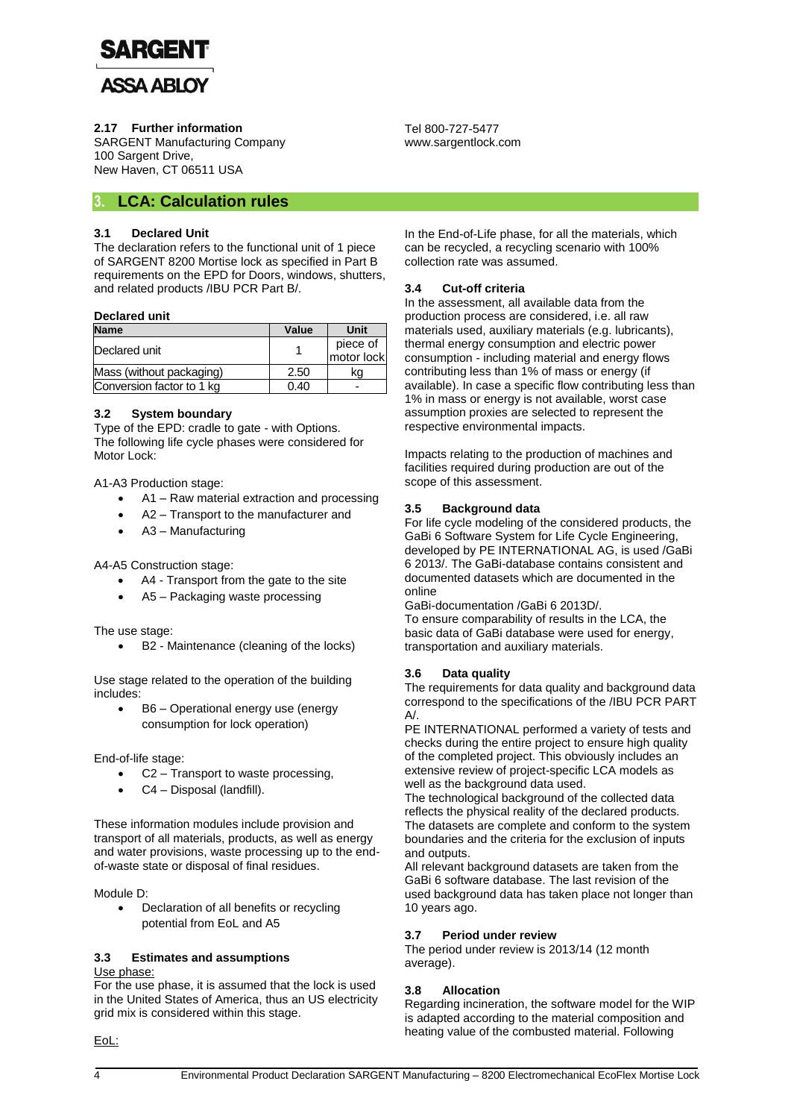

**2.17 Further information**

SARGENT Manufacturing Company 100 Sargent Drive, New Haven, CT 06511 USA

## **3. LCA: Calculation rules**

#### **3.1 Declared Unit**

The declaration refers to the functional unit of 1 piece of SARGENT 8200 Mortise lock as specified in Part B requirements on the EPD for Doors, windows, shutters, and related products /IBU PCR Part B/.

#### **Declared unit**

| <b>Name</b>               | Value | Unit                   |
|---------------------------|-------|------------------------|
| Declared unit             |       | piece of<br>motor lock |
| Mass (without packaging)  | 2.50  | kα                     |
| Conversion factor to 1 kg | 0.40  |                        |

#### **3.2 System boundary**

Type of the EPD: cradle to gate - with Options. The following life cycle phases were considered for Motor Lock:

A1-A3 Production stage:

- A1 Raw material extraction and processing
- A2 Transport to the manufacturer and
- A3 Manufacturing

A4-A5 Construction stage:

- A4 Transport from the gate to the site
- A5 Packaging waste processing

The use stage:

B2 - Maintenance (cleaning of the locks)

Use stage related to the operation of the building includes:

 B6 – Operational energy use (energy consumption for lock operation)

End-of-life stage:

- C2 Transport to waste processing,
- C4 Disposal (landfill).

These information modules include provision and transport of all materials, products, as well as energy and water provisions, waste processing up to the endof-waste state or disposal of final residues.

Module D:

 Declaration of all benefits or recycling potential from EoL and A5

#### **3.3 Estimates and assumptions** Use phase:

For the use phase, it is assumed that the lock is used in the United States of America, thus an US electricity grid mix is considered within this stage.

Tel 800-727-5477 www.sargentlock.com

In the End-of-Life phase, for all the materials, which can be recycled, a recycling scenario with 100% collection rate was assumed.

#### **3.4 Cut-off criteria**

In the assessment, all available data from the production process are considered, i.e. all raw materials used, auxiliary materials (e.g. lubricants), thermal energy consumption and electric power consumption - including material and energy flows contributing less than 1% of mass or energy (if available). In case a specific flow contributing less than 1% in mass or energy is not available, worst case assumption proxies are selected to represent the respective environmental impacts.

Impacts relating to the production of machines and facilities required during production are out of the scope of this assessment.

#### **3.5 Background data**

For life cycle modeling of the considered products, the GaBi 6 Software System for Life Cycle Engineering, developed by PE INTERNATIONAL AG, is used /GaBi 6 2013/. The GaBi-database contains consistent and documented datasets which are documented in the online

GaBi-documentation /GaBi 6 2013D/.

To ensure comparability of results in the LCA, the basic data of GaBi database were used for energy, transportation and auxiliary materials.

#### **3.6 Data quality**

The requirements for data quality and background data correspond to the specifications of the /IBU PCR PART A/.

PE INTERNATIONAL performed a variety of tests and checks during the entire project to ensure high quality of the completed project. This obviously includes an extensive review of project-specific LCA models as well as the background data used.

The technological background of the collected data reflects the physical reality of the declared products. The datasets are complete and conform to the system boundaries and the criteria for the exclusion of inputs and outputs.

All relevant background datasets are taken from the GaBi 6 software database. The last revision of the used background data has taken place not longer than 10 years ago.

#### **3.7 Period under review**

The period under review is 2013/14 (12 month average).

#### **3.8 Allocation**

Regarding incineration, the software model for the WIP is adapted according to the material composition and heating value of the combusted material. Following

EoL: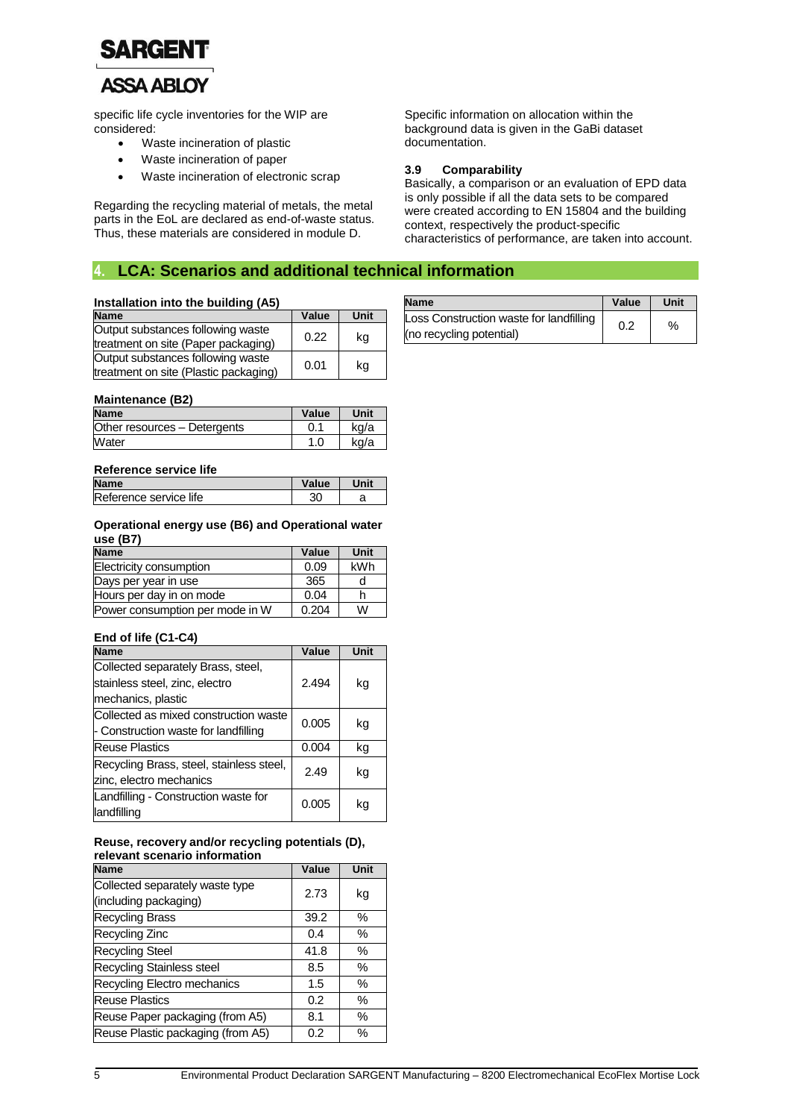

## **ASSA ABLOY**

specific life cycle inventories for the WIP are considered:

- Waste incineration of plastic
- Waste incineration of paper
- Waste incineration of electronic scrap

Regarding the recycling material of metals, the metal parts in the EoL are declared as end-of-waste status. Thus, these materials are considered in module D.

Specific information on allocation within the background data is given in the GaBi dataset documentation.

#### **3.9 Comparability**

Basically, a comparison or an evaluation of EPD data is only possible if all the data sets to be compared were created according to EN 15804 and the building context, respectively the product-specific characteristics of performance, are taken into account.

## **4. LCA: Scenarios and additional technical information**

#### **Installation into the building (A5)**

| <b>Name</b>                                                                | Value | Unit |
|----------------------------------------------------------------------------|-------|------|
| Output substances following waste<br>treatment on site (Paper packaging)   | 0.22  | ka   |
| Output substances following waste<br>treatment on site (Plastic packaging) | 0.01  | ka   |

#### **Maintenance (B2)**

| <b>Name</b>                  | Value | Unit |
|------------------------------|-------|------|
| Other resources - Detergents |       | kg/a |
| Water                        |       | ka/a |

#### **Reference service life**

| <b>Name</b>            | Value | Unit |
|------------------------|-------|------|
| Reference service life |       |      |

#### **Operational energy use (B6) and Operational water use (B7)**

| <b>Name</b>                     | Value | Unit |
|---------------------------------|-------|------|
| Electricity consumption         | 0.09  | kWh  |
| Days per year in use            | 365   |      |
| Hours per day in on mode        | 0.04  |      |
| Power consumption per mode in W | 0.204 | W    |

#### **End of life (C1-C4)**

| <b>Name</b>                                                                                | Value | Unit |
|--------------------------------------------------------------------------------------------|-------|------|
| Collected separately Brass, steel,<br>stainless steel, zinc, electro<br>mechanics, plastic | 2.494 | kg   |
| Collected as mixed construction waste<br>- Construction waste for landfilling              | 0.005 | kg   |
| <b>Reuse Plastics</b>                                                                      | 0.004 | kg   |
| Recycling Brass, steel, stainless steel,<br>zinc, electro mechanics                        | 2.49  | kg   |
| Landfilling - Construction waste for<br>landfilling                                        | 0.005 | kq   |

#### **Reuse, recovery and/or recycling potentials (D), relevant scenario information**

| Value | Unit |
|-------|------|
| 2.73  | kg   |
|       |      |
| 39.2  | ℅    |
| 0.4   | %    |
| 41.8  | $\%$ |
| 8.5   | %    |
| 1.5   | $\%$ |
| 0.2   | ℅    |
| 8.1   | ℅    |
| 0.2   | %    |
|       |      |

| <b>Name</b>                             | Value | Unit |
|-----------------------------------------|-------|------|
| Loss Construction waste for landfilling | 0.2   | %    |
| (no recycling potential)                |       |      |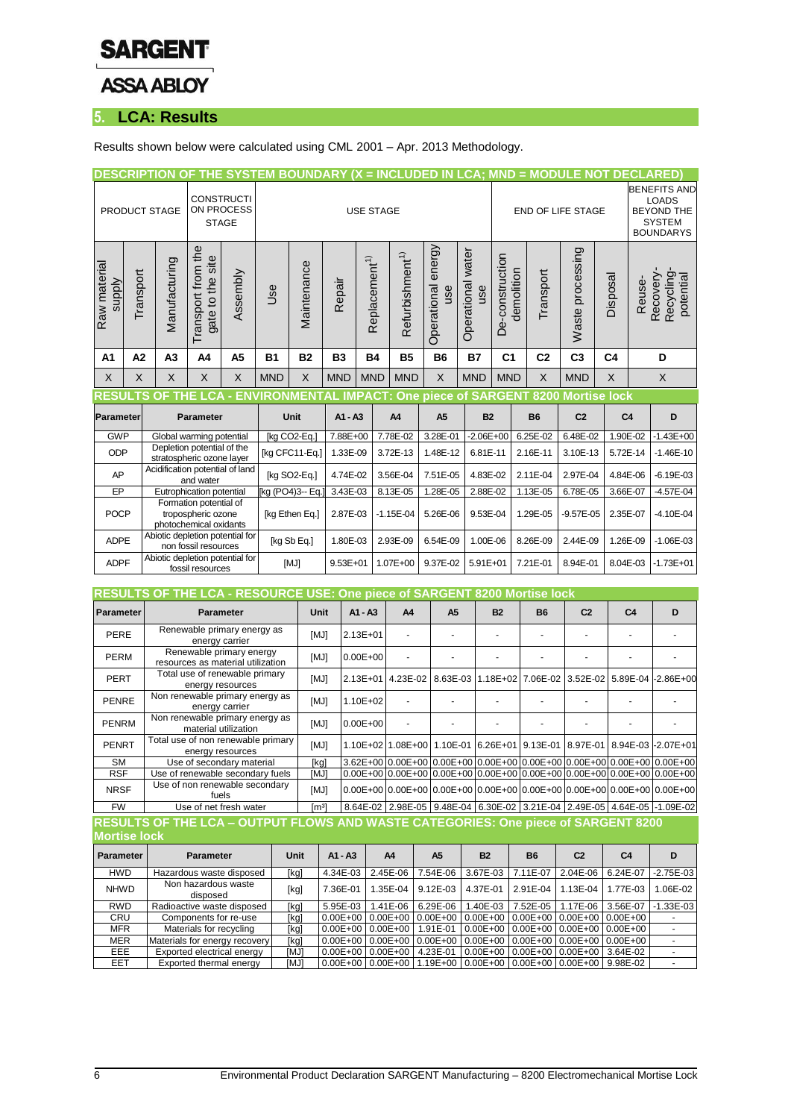

## **5. LCA: Results**

Results shown below were calculated using CML 2001 – Apr. 2013 Methodology.

|                               |                                                     |                                                         |                                                                        |                                                               |                  |             |              |                           |                                                      |                           |                   |               |                               | DESCRIPTION OF THE SYSTEM BOUNDARY (X = INCLUDED IN LCA; MND = MODULE NOT DECLARED) |                     |                |                                                                                               |                                            |
|-------------------------------|-----------------------------------------------------|---------------------------------------------------------|------------------------------------------------------------------------|---------------------------------------------------------------|------------------|-------------|--------------|---------------------------|------------------------------------------------------|---------------------------|-------------------|---------------|-------------------------------|-------------------------------------------------------------------------------------|---------------------|----------------|-----------------------------------------------------------------------------------------------|--------------------------------------------|
|                               |                                                     | PRODUCT STAGE                                           | <b>STAGE</b>                                                           | <b>CONSTRUCTI</b><br>ON PROCESS                               |                  |             |              | <b>USE STAGE</b>          |                                                      |                           |                   |               |                               | <b>END OF LIFE STAGE</b>                                                            |                     |                | <b>BENEFITS AND</b><br><b>LOADS</b><br><b>BEYOND THE</b><br><b>SYSTEM</b><br><b>BOUNDARYS</b> |                                            |
| Raw material<br><b>Alddns</b> | Transport                                           | Manufacturing                                           | Transport from the<br>gate to the site                                 | Assembly                                                      | <b>Use</b>       | Maintenance | Repair       | Replacement <sup>1)</sup> | Refurbishment <sup>1)</sup>                          | Operational energy<br>use | Operational water | use           | De-construction<br>demolition | Transport                                                                           | Waste processing    | Disposal       | Reuse-                                                                                        | Recovery-<br><b>Recycling</b><br>potential |
| A <sub>1</sub>                | A2                                                  | A <sub>3</sub>                                          | A <sub>4</sub>                                                         | A <sub>5</sub>                                                | <b>B1</b>        | <b>B2</b>   | <b>B3</b>    | <b>B4</b>                 | <b>B5</b>                                            | <b>B6</b>                 | <b>B7</b>         |               | C <sub>1</sub>                | C <sub>2</sub>                                                                      | C <sub>3</sub>      | C <sub>4</sub> |                                                                                               | D                                          |
| X                             | $\times$                                            | $\times$                                                | X                                                                      | $\sf X$                                                       | <b>MND</b>       | X           | <b>MND</b>   | <b>MND</b>                | <b>MND</b>                                           | $\times$                  | <b>MND</b>        |               | <b>MND</b>                    | $\mathsf{X}$                                                                        | <b>MND</b>          | X              |                                                                                               | $\times$                                   |
|                               |                                                     | റ                                                       |                                                                        |                                                               |                  |             |              |                           | THE LCA - ENVIRONMENTAL IMPACT: One piece of SARGENT |                           |                   |               |                               | 8200                                                                                | <b>Mortise lock</b> |                |                                                                                               |                                            |
| Parameter                     |                                                     |                                                         | <b>Parameter</b>                                                       |                                                               |                  | Unit        | $A1 - A3$    |                           | A4                                                   | A <sub>5</sub>            |                   | <b>B2</b>     |                               | <b>B6</b>                                                                           | C <sub>2</sub>      |                | C <sub>4</sub>                                                                                | D                                          |
| <b>GWP</b>                    |                                                     | Global warming potential                                |                                                                        |                                                               | [kg CO2-Eq.]     |             | 7.88E+00     |                           | 7.78E-02                                             | 3.28E-01                  |                   | $-2.06E + 00$ |                               | $6.25E - 02$                                                                        | 6.48E-02            |                | 1.90E-02                                                                                      | $-1.43E + 00$                              |
| <b>ODP</b>                    |                                                     | Depletion potential of the<br>stratospheric ozone layer |                                                                        |                                                               | [kg CFC11-Eq.]   |             | 1.33E-09     |                           | 3.72E-13                                             | 1.48E-12                  |                   | 6.81E-11      |                               | 2.16E-11                                                                            | 3.10E-13            |                | 5.72E-14                                                                                      | $-1.46E-10$                                |
| AP                            |                                                     | Acidification potential of land                         | and water                                                              |                                                               | [kg SO2-Eq.]     |             | 4.74E-02     |                           | 3.56E-04                                             | 7.51E-05                  |                   | 4.83E-02      |                               | 2.11E-04                                                                            | 2.97E-04            |                | 4.84E-06                                                                                      | $-6.19E - 03$                              |
| EP                            |                                                     |                                                         | Eutrophication potential                                               |                                                               | [kg (PO4)3-- Eq. |             | 3.43E-03     |                           | 8.13E-05                                             | 1.28E-05                  |                   | 2.88E-02      |                               | 1.13E-05                                                                            | 6.78E-05            |                | 3.66E-07                                                                                      | $-4.57E - 04$                              |
| <b>POCP</b>                   |                                                     |                                                         | Formation potential of<br>tropospheric ozone<br>photochemical oxidants |                                                               | [kg Ethen Eq.]   |             | 2.87E-03     |                           | $-1.15E - 04$                                        | 5.26E-06                  |                   | 9.53E-04      |                               | 1.29E-05                                                                            | $-9.57E - 05$       |                | 2.35E-07                                                                                      | $-4.10E - 04$                              |
| <b>ADPE</b>                   |                                                     | Abiotic depletion potential for                         | non fossil resources                                                   |                                                               | [kg Sb Eq.]      |             | 1.80E-03     |                           | 2.93E-09                                             | 6.54E-09                  |                   | 1.00E-06      |                               | 8.26E-09                                                                            | 2.44E-09            |                | 1.26E-09                                                                                      | $-1.06E - 03$                              |
| <b>ADPF</b>                   |                                                     | Abiotic depletion potential for                         | fossil resources                                                       |                                                               | [MJ]             |             | $9.53E + 01$ |                           | 1.07E+00                                             | 9.37E-02                  |                   | $5.91E + 01$  |                               | 7.21E-01                                                                            | 8.94E-01            |                | 8.04E-03                                                                                      | $-1.73E + 01$                              |
|                               |                                                     |                                                         |                                                                        |                                                               |                  |             |              |                           |                                                      |                           |                   |               |                               |                                                                                     |                     |                |                                                                                               |                                            |
| RESUI                         |                                                     |                                                         |                                                                        |                                                               | OURCE            | USE:        |              |                           | <b>One piece of SARGENT</b>                          |                           |                   |               |                               | 8200 Mortise lock                                                                   |                     |                |                                                                                               |                                            |
| Parameter                     |                                                     |                                                         | <b>Parameter</b>                                                       |                                                               |                  | Unit        |              | $A1 - A3$                 | A <sub>4</sub>                                       | A <sub>5</sub>            |                   |               | <b>B2</b>                     | <b>B6</b>                                                                           | C <sub>2</sub>      |                | C <sub>4</sub>                                                                                | D                                          |
| PERE                          |                                                     |                                                         | energy carrier                                                         | Renewable primary energy as                                   |                  | [MJ]        |              | $2.13E + 01$              |                                                      |                           |                   |               |                               | ä,                                                                                  | ä,                  |                |                                                                                               | ٠                                          |
| <b>PERM</b>                   |                                                     |                                                         |                                                                        | Renewable primary energy<br>resources as material utilization |                  | [MJ]        |              | $0.00E + 00$              |                                                      |                           |                   |               |                               |                                                                                     |                     |                |                                                                                               |                                            |
| PERT                          |                                                     |                                                         |                                                                        | Total use of renewable primary                                |                  | [MJ]        |              | 2.13E+01                  | 4.23E-02                                             | 8.63E-03                  |                   | 1.18E+02      |                               | 7.06E-02                                                                            | 3.52E-02            |                | 5.89E-04                                                                                      | $-2.86E + 00$                              |
| <b>PENRE</b>                  | energy resources<br>Non renewable primary energy as |                                                         |                                                                        | [MJ]                                                          |                  | 1.10E+02    |              |                           |                                                      |                           |                   |               |                               |                                                                                     |                     |                |                                                                                               |                                            |

| <b>PENRE</b> | <u>HOITICHEWADIC DIIHAIY CHCIQY AS</u><br>energy carrier | <b>IMJ1</b>   | 1.10E+02                                                                                                                                                                                                                       |  |                                                                                     |  |  |
|--------------|----------------------------------------------------------|---------------|--------------------------------------------------------------------------------------------------------------------------------------------------------------------------------------------------------------------------------|--|-------------------------------------------------------------------------------------|--|--|
| PENRM        | Non renewable primary energy as<br>material utilization  | <b>IMJ1</b>   | $0.00E + 00$                                                                                                                                                                                                                   |  |                                                                                     |  |  |
| PENRT        | Total use of non renewable primary<br>energy resources   | [MJ]          |                                                                                                                                                                                                                                |  | 1.10E+02  1.08E+00   1.10E-01  6.26E+01   9.13E-01   8.97E-01   8.94E-03  -2.07E+01 |  |  |
| <b>SM</b>    | Use of secondary material                                | [kg]          | $(3.62E+0010.00E+0010.00E+0010.00E+0010.00E+0010.00E+0010.00E+0010.00E+0010.00E+00100E+00100E+00100E+00100E+00100E+00100E+00100E+00100E+00100E+00100E+00100E+00100E+00100E+00100E+00100E+00100E+00100E+00100E+00100E+00100E+0$ |  |                                                                                     |  |  |
| <b>RSF</b>   | Use of renewable secondary fuels                         | [MJ]          | 0.00E+00 0.00E+00 0.00E+00 0.00E+00 0.00E+00 0.00E+00 0.00E+00 0.00E+00 0.00E+00                                                                                                                                               |  |                                                                                     |  |  |
| <b>NRSF</b>  | Use of non renewable secondary<br>fuels                  | [MJ]          |                                                                                                                                                                                                                                |  |                                                                                     |  |  |
| <b>FW</b>    | Use of net fresh water                                   | $\text{Im}^3$ | 8.64E-02   2.98E-05   9.48E-04   6.30E-02   3.21E-04   2.49E-05   4.64E-05   -1.09E-02                                                                                                                                         |  |                                                                                     |  |  |

#### **RESULTS OF THE LCA – OUTPUT FLOWS AND WASTE CATEGORIES: One piece of SARGENT 8200 Mortise lock**

| Parameter   | <b>Parameter</b>                | Unit        | $A1 - A3$               | A4       | A <sub>5</sub>                                                                 | <b>B2</b>                                   | <b>B6</b> | C <sub>2</sub>                      | C <sub>4</sub> | D             |
|-------------|---------------------------------|-------------|-------------------------|----------|--------------------------------------------------------------------------------|---------------------------------------------|-----------|-------------------------------------|----------------|---------------|
| <b>HWD</b>  | Hazardous waste disposed        | [kg]        | 4.34E-03                | 2.45E-06 | 7.54E-06                                                                       | 3.67E-03 7.11E-07                           |           | 2.04E-06                            | 6.24E-07       | $-2.75E - 03$ |
| <b>NHWD</b> | Non hazardous waste<br>disposed | [kg]        | 7.36E-01                | 1.35E-04 | $9.12E - 03$                                                                   | 4.37E-01                                    | 2.91E-04  | $1.13E-04$                          | 1.77E-03       | $.06E-02$     |
| <b>RWD</b>  | Radioactive waste disposed      | [kg]        | 5.95E-03                | 1.41E-06 | 6.29E-06                                                                       |                                             |           | 1.40E-03 7.52E-05 1.17E-06 3.56E-07 |                | $-1.33E - 03$ |
| CRU         | Components for re-use           | [kg]        | $0.00E + 0010.00E + 00$ |          | 0.00E+00 0.00E+00 0.00E+00 0.00E+00 0.00E+00                                   |                                             |           |                                     |                |               |
| <b>MFR</b>  | Materials for recycling         | [kg]        | $0.00E + 0010.00E + 00$ |          | 1.91E-01                                                                       | $0.00E+00$ $0.00E+00$ $0.00E+00$ $0.00E+00$ |           |                                     |                |               |
| <b>MER</b>  | Materials for energy recovery   | [kg]        |                         |          | $0.00E + 0010.00E + 0010.00E + 0010.00E + 0010.00E + 0010.00E + 0010.00E + 00$ |                                             |           |                                     |                |               |
| EEE.        | Exported electrical energy      | <b>IMJ1</b> | $0.00E + 0010.00E + 00$ |          | 4.23E-01                                                                       | 0.00E+00 0.00E+00 0.00E+00 3.64E-02         |           |                                     |                |               |
| EET         | Exported thermal energy         | <b>IMJ1</b> |                         |          | $0.00E+00$ $0.00E+00$ $1.19E+00$ $0.00E+00$ $0.00E+00$ $0.00E+00$ $9.98E-02$   |                                             |           |                                     |                |               |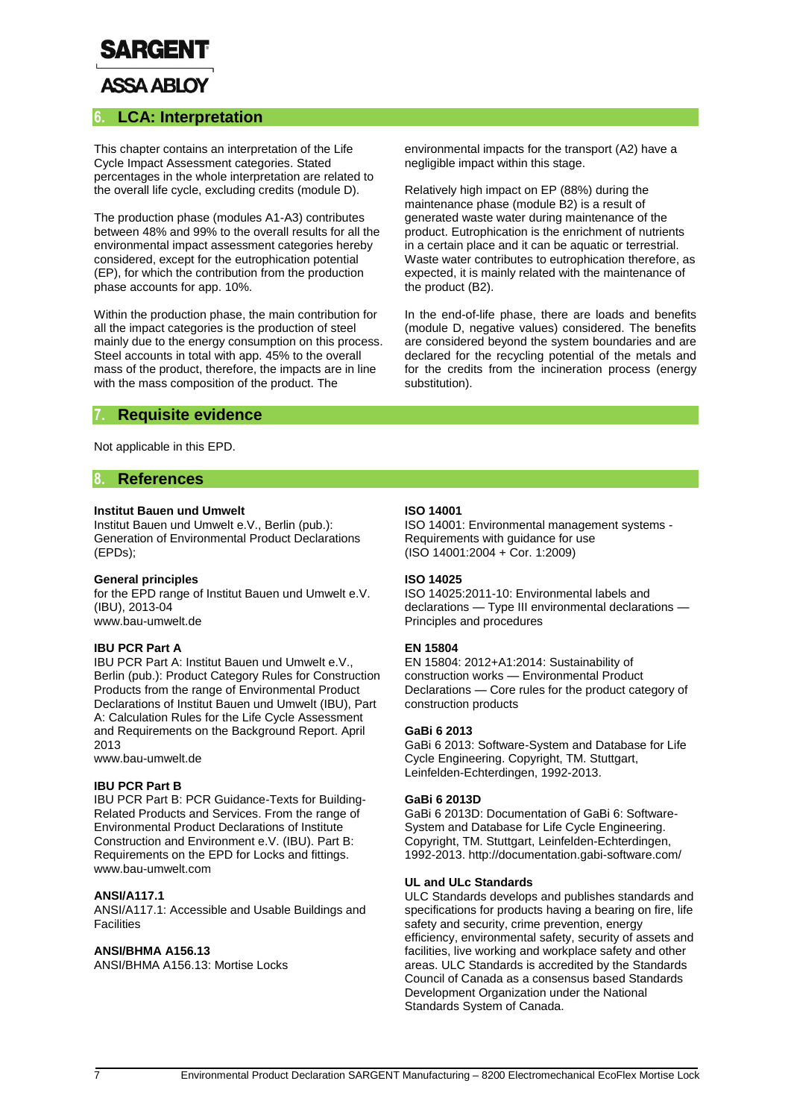

## **ASSA ABLOY**

#### **6. LCA: Interpretation**

This chapter contains an interpretation of the Life Cycle Impact Assessment categories. Stated percentages in the whole interpretation are related to the overall life cycle, excluding credits (module D).

The production phase (modules A1-A3) contributes between 48% and 99% to the overall results for all the environmental impact assessment categories hereby considered, except for the eutrophication potential (EP), for which the contribution from the production phase accounts for app. 10%.

Within the production phase, the main contribution for all the impact categories is the production of steel mainly due to the energy consumption on this process. Steel accounts in total with app. 45% to the overall mass of the product, therefore, the impacts are in line with the mass composition of the product. The

environmental impacts for the transport (A2) have a negligible impact within this stage.

Relatively high impact on EP (88%) during the maintenance phase (module B2) is a result of generated waste water during maintenance of the product. Eutrophication is the enrichment of nutrients in a certain place and it can be aquatic or terrestrial. Waste water contributes to eutrophication therefore, as expected, it is mainly related with the maintenance of the product (B2).

In the end-of-life phase, there are loads and benefits (module D, negative values) considered. The benefits are considered beyond the system boundaries and are declared for the recycling potential of the metals and for the credits from the incineration process (energy substitution).

### **7. Requisite evidence**

Not applicable in this EPD.

#### **8. References**

#### **Institut Bauen und Umwelt**

Institut Bauen und Umwelt e.V., Berlin (pub.): Generation of Environmental Product Declarations (EPDs);

#### **General principles**

for the EPD range of Institut Bauen und Umwelt e.V. (IBU), 2013-04 www.bau-umwelt.de

#### **IBU PCR Part A**

IBU PCR Part A: Institut Bauen und Umwelt e.V., Berlin (pub.): Product Category Rules for Construction Products from the range of Environmental Product Declarations of Institut Bauen und Umwelt (IBU), Part A: Calculation Rules for the Life Cycle Assessment and Requirements on the Background Report. April 2013

www.bau-umwelt.de

#### **IBU PCR Part B**

IBU PCR Part B: PCR Guidance-Texts for Building-Related Products and Services. From the range of Environmental Product Declarations of Institute Construction and Environment e.V. (IBU). Part B: Requirements on the EPD for Locks and fittings. www.bau-umwelt.com

#### **ANSI/A117.1**

ANSI/A117.1: Accessible and Usable Buildings and **Facilities** 

#### **ANSI/BHMA A156.13**

ANSI/BHMA A156.13: Mortise Locks

#### **ISO 14001**

ISO 14001: Environmental management systems - Requirements with guidance for use (ISO 14001:2004 + Cor. 1:2009)

#### **ISO 14025**

ISO 14025:2011-10: Environmental labels and declarations — Type III environmental declarations — Principles and procedures

#### **EN 15804**

EN 15804: 2012+A1:2014: Sustainability of construction works — Environmental Product Declarations — Core rules for the product category of construction products

#### **GaBi 6 2013**

GaBi 6 2013: Software-System and Database for Life Cycle Engineering. Copyright, TM. Stuttgart, Leinfelden-Echterdingen, 1992-2013.

#### **GaBi 6 2013D**

GaBi 6 2013D: Documentation of GaBi 6: Software-System and Database for Life Cycle Engineering. Copyright, TM. Stuttgart, Leinfelden-Echterdingen, 1992-2013. http://documentation.gabi-software.com/

#### **UL and ULc Standards**

ULC Standards develops and publishes standards and specifications for products having a bearing on fire, life safety and security, crime prevention, energy efficiency, environmental safety, security of assets and facilities, live working and workplace safety and other areas. ULC Standards is accredited by the Standards Council of Canada as a consensus based Standards Development Organization under the National Standards System of Canada.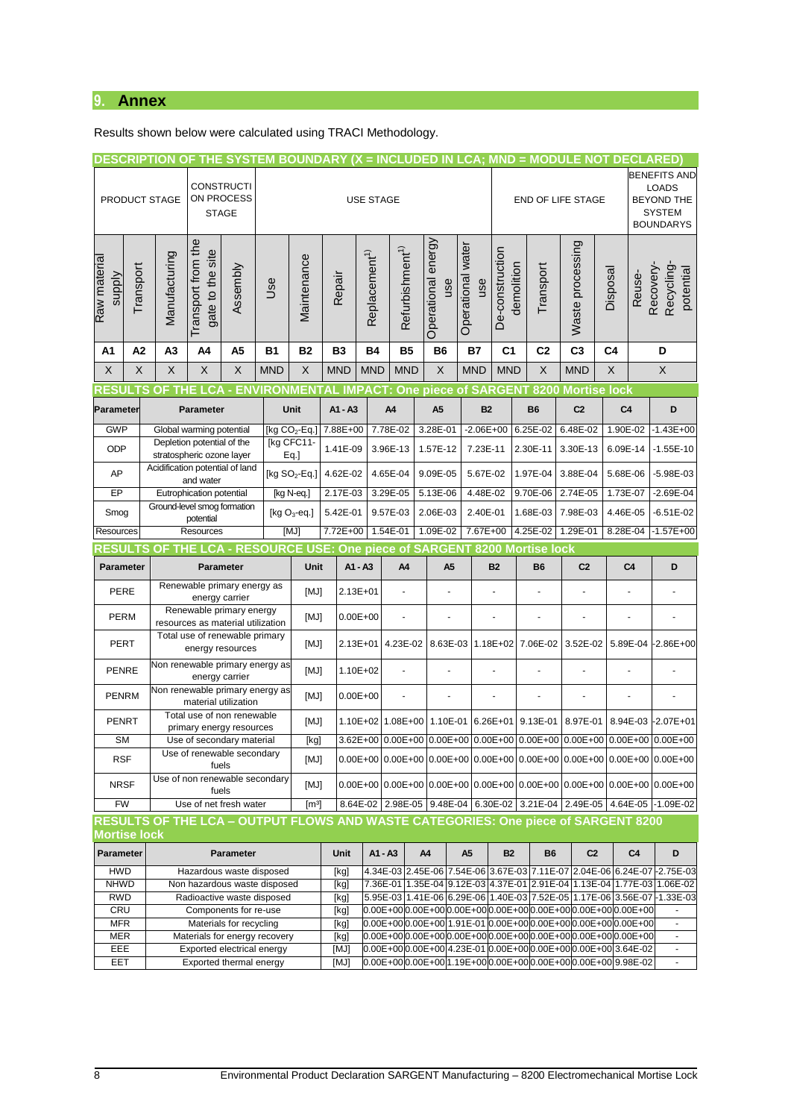## **9. Annex**

Results shown below were calculated using TRACI Methodology.

|                                  |           |                                                              |                                                                     |             |            |                   |              |                           |                             | DESCRIPTION OF THE SYSTEM BOUNDARY (X = INCLUDED IN LCA; MND = MODULE NOT DECLARED)                                  |                   |                   |            |                |                                     |          |                |                                                                                       |
|----------------------------------|-----------|--------------------------------------------------------------|---------------------------------------------------------------------|-------------|------------|-------------------|--------------|---------------------------|-----------------------------|----------------------------------------------------------------------------------------------------------------------|-------------------|-------------------|------------|----------------|-------------------------------------|----------|----------------|---------------------------------------------------------------------------------------|
|                                  |           |                                                              |                                                                     |             |            |                   |              |                           |                             |                                                                                                                      |                   |                   |            |                |                                     |          |                | <b>BENEFITS AND</b>                                                                   |
|                                  |           |                                                              | <b>CONSTRUCTI</b>                                                   |             |            |                   |              |                           |                             |                                                                                                                      |                   |                   |            |                |                                     |          |                | <b>LOADS</b>                                                                          |
|                                  |           | PRODUCT STAGE                                                |                                                                     | ON PROCESS  |            |                   |              | <b>USE STAGE</b>          |                             |                                                                                                                      |                   |                   |            |                | END OF LIFE STAGE                   |          |                | <b>BEYOND THE</b><br>SYSTEM                                                           |
|                                  |           |                                                              | <b>STAGE</b>                                                        |             |            |                   |              |                           |                             |                                                                                                                      |                   |                   |            |                |                                     |          |                | <b>BOUNDARYS</b>                                                                      |
|                                  |           |                                                              |                                                                     |             |            |                   |              |                           |                             |                                                                                                                      |                   |                   |            |                |                                     |          |                |                                                                                       |
|                                  |           |                                                              | Transport from the                                                  |             |            |                   |              |                           |                             | Operational energy                                                                                                   | Operational water |                   |            |                | Waste processing                    |          |                |                                                                                       |
|                                  |           |                                                              |                                                                     |             |            | Maintenance       |              |                           |                             |                                                                                                                      |                   |                   |            |                |                                     |          |                |                                                                                       |
|                                  |           |                                                              |                                                                     |             | Use        |                   |              |                           |                             | use                                                                                                                  |                   | use               |            |                |                                     |          |                |                                                                                       |
| supply                           | Transport |                                                              |                                                                     | Assembly    |            |                   | Repair       |                           |                             |                                                                                                                      |                   |                   | demolition | Transport      |                                     | Disposal | Reuse-         | Recovery-<br>Recycling<br>potential                                                   |
| Raw material                     |           | Manufacturing                                                | gate to the site                                                    |             |            |                   |              | Replacement <sup>1)</sup> | Refurbishment <sup>1)</sup> |                                                                                                                      |                   | De-construction   |            |                |                                     |          |                |                                                                                       |
|                                  |           |                                                              |                                                                     |             |            |                   |              |                           |                             |                                                                                                                      |                   |                   |            |                |                                     |          |                |                                                                                       |
| A1                               | A2        | A3                                                           | A4                                                                  | A5          | <b>B1</b>  | B2                | B3           | <b>B4</b>                 | <b>B5</b>                   | B <sub>6</sub>                                                                                                       | <b>B7</b>         | C1                |            | C2             | C <sub>3</sub>                      | C4       |                | D                                                                                     |
| X                                | X         | X                                                            | $\boldsymbol{\mathsf{X}}$                                           | $\mathsf X$ | <b>MND</b> | $\mathsf X$       | <b>MND</b>   | <b>MND</b>                | <b>MND</b>                  | $\boldsymbol{\mathsf{X}}$                                                                                            | <b>MND</b>        | <b>MND</b>        |            | $\mathsf X$    | <b>MND</b>                          | X        |                | X                                                                                     |
| <b>RESU</b>                      |           | ΩF                                                           | <b>THE LCA</b>                                                      |             |            |                   |              |                           |                             | - ENVIRONMENTAL IMPACT: One piece of SARGENT 8200                                                                    |                   |                   |            |                | <b>Mortise lock</b>                 |          |                |                                                                                       |
| Parameter                        |           |                                                              | Parameter                                                           |             |            | Unit              | A1 - A3      |                           | A4                          | A <sub>5</sub>                                                                                                       |                   | <b>B2</b>         |            | <b>B6</b>      | C <sub>2</sub>                      |          | C <sub>4</sub> | D                                                                                     |
| <b>GWP</b>                       |           |                                                              | Global warming potential                                            |             |            | [kg $CO2$ -Eq.]   | 7.88E+00     |                           | 7.78E-02                    | 3.28E-01                                                                                                             |                   | $-2.06E + 00$     |            | 6.25E-02       | 6.48E-02                            |          | 1.90E-02       | $-1.43E + 00$                                                                         |
| ODP                              |           | Depletion potential of the                                   |                                                                     |             |            | [kg CFC11-        | 1.41E-09     |                           | 3.96E-13                    | 1.57E-12                                                                                                             |                   | 7.23E-11          |            | 2.30E-11       | 3.30E-13                            |          | 6.09E-14       | $-1.55E-10$                                                                           |
|                                  |           | stratospheric ozone layer<br>Acidification potential of land |                                                                     |             |            | Eq.]              |              |                           |                             |                                                                                                                      |                   |                   |            |                |                                     |          |                |                                                                                       |
| AP                               |           |                                                              | and water                                                           |             |            | [kg $SO_2$ -Eq.]  | 4.62E-02     |                           | 4.65E-04                    | 9.09E-05                                                                                                             |                   | 5.67E-02          |            | 1.97E-04       | 3.88E-04                            |          | 5.68E-06       | $-5.98E - 03$                                                                         |
| EP                               |           | Ground-level smog formation                                  | Eutrophication potential                                            |             |            | [kg N-eq.]        | 2.17E-03     |                           | 3.29E-05                    | 5.13E-06                                                                                                             |                   | 4.48E-02          | 9.70E-06   |                | 2.74E-05                            |          | 1.73E-07       | $-2.69E - 04$                                                                         |
| Smog                             |           |                                                              | potential                                                           |             |            | [kg $O_3$ -eq.]   | 5.42E-01     |                           | 9.57E-03                    | 2.06E-03                                                                                                             |                   | 2.40E-01          | 1.68E-03   |                | 7.98E-03                            |          | 4.46E-05       | $-6.51E-02$                                                                           |
| Resources                        |           |                                                              | Resources                                                           |             |            | [MJ]              | 7.72E+00     |                           | 1.54E-01                    | 1.09E-02                                                                                                             |                   | 7.67E+00          |            | 4.25E-02       | 1.29E-01                            |          | 8.28E-04       | $-1.57E + 00$                                                                         |
| <b>RESUL</b>                     | .TS       |                                                              |                                                                     |             |            |                   |              |                           |                             | OF THE LCA - RESOURCE USE: One piece of SARGENT 8200 Mortise lock                                                    |                   |                   |            |                |                                     |          |                |                                                                                       |
| Parameter                        |           |                                                              | <b>Parameter</b>                                                    |             |            | Unit              |              | A1 - A3                   | A4                          |                                                                                                                      |                   | <b>B2</b>         |            |                | C <sub>2</sub>                      |          | C <sub>4</sub> | D                                                                                     |
|                                  |           |                                                              |                                                                     |             |            |                   |              |                           |                             | A5                                                                                                                   |                   |                   |            | B <sub>6</sub> |                                     |          |                |                                                                                       |
| PERE                             |           |                                                              | Renewable primary energy as                                         |             |            | [MJ]              |              | 2.13E+01                  | ÷,                          |                                                                                                                      |                   | ä,                |            |                | ÷,                                  |          |                |                                                                                       |
| PERM                             |           |                                                              | energy carrier<br>Renewable primary energy                          |             |            | [MJ]              |              | $0.00E + 00$              | ä,                          |                                                                                                                      |                   |                   |            |                | ä,                                  |          |                |                                                                                       |
| PERT                             |           |                                                              | resources as material utilization<br>Total use of renewable primary |             |            | [MJ]              |              |                           | 2.13E+01 4.23E-02           |                                                                                                                      |                   |                   |            |                | 8.63E-03 1.18E+02 7.06E-02 3.52E-02 |          |                | 5.89E-04 -2.86E+00                                                                    |
|                                  |           |                                                              | energy resources                                                    |             |            |                   |              |                           |                             |                                                                                                                      |                   |                   |            |                |                                     |          |                |                                                                                       |
| PENRE                            |           | Non renewable primary energy as                              | energy carrier                                                      |             |            | [MJ]              |              | 1.10E+02                  | ÷,                          |                                                                                                                      |                   |                   |            |                |                                     |          |                |                                                                                       |
| <b>PENRM</b>                     |           | Non renewable primary energy as                              | material utilization                                                |             |            | [MJ]              |              | $0.00E + 00$              | $\overline{a}$              |                                                                                                                      |                   |                   |            |                |                                     |          |                |                                                                                       |
| <b>PENRT</b>                     |           |                                                              | Total use of non renewable<br>primary energy resources              |             |            | [MJ]              |              |                           | 1.10E+02 1.08E+00           |                                                                                                                      |                   | 1.10E-01 6.26E+01 |            | 9.13E-01       | 8.97E-01                            |          |                | 8.94E-03 -2.07E+01                                                                    |
| <b>SM</b>                        |           |                                                              | Use of secondary material                                           |             |            | [kg]              |              |                           |                             |                                                                                                                      |                   |                   |            |                |                                     |          |                | 3.62E+00 0.00E+00 0.00E+00 0.00E+00 0.00E+00 0.00E+00 0.00E+00 0.00E+00               |
| <b>RSF</b>                       |           |                                                              | Use of renewable secondary<br>fuels                                 |             |            | [MJ]              |              |                           |                             |                                                                                                                      |                   |                   |            |                |                                     |          |                | $0.00E+00$ 0.00E+00 0.00E+00 0.00E+00 0.00E+00 0.00E+00 0.00E+00 0.00E+00             |
| <b>NRSF</b>                      |           | Use of non renewable secondary                               | fuels                                                               |             |            | [MJ]              |              |                           |                             |                                                                                                                      |                   |                   |            |                |                                     |          |                | $0.00E+00$ 0.00E+00 0.00E+00 0.00E+00 0.00E+00 0.00E+00 0.00E+00 0.00E+00             |
| <b>FW</b>                        |           |                                                              | Use of net fresh water                                              |             |            | [m <sup>3</sup> ] |              |                           |                             |                                                                                                                      |                   |                   |            |                |                                     |          |                | 8.64E-02 2.98E-05 9.48E-04 6.30E-02 3.21E-04 2.49E-05 4.64E-05 -1.09E-02              |
|                                  |           |                                                              |                                                                     |             |            |                   |              |                           |                             | RESULTS OF THE LCA - OUTPUT FLOWS AND WASTE CATEGORIES: One piece of SARGENT 8200                                    |                   |                   |            |                |                                     |          |                |                                                                                       |
| <b>Mortise lock</b><br>Parameter |           |                                                              |                                                                     | Parameter   |            |                   | Unit         |                           | A1 - A3                     | A4                                                                                                                   | A5                |                   | <b>B2</b>  | B <sub>6</sub> | C <sub>2</sub>                      |          | C <sub>4</sub> | D                                                                                     |
| <b>HWD</b>                       |           |                                                              | Hazardous waste disposed                                            |             |            |                   | [kg]         |                           |                             |                                                                                                                      |                   |                   |            |                |                                     |          |                | 4.34E-03 2.45E-06 7.54E-06 3.67E-03 7.11E-07 2.04E-06 6.24E-07 - 2.75E-03             |
| <b>NHWD</b>                      |           |                                                              | Non hazardous waste disposed                                        |             |            |                   | [kg]         |                           |                             |                                                                                                                      |                   |                   |            |                |                                     |          |                | 7.36E-01 1.35E-04 9.12E-03 4.37E-01 2.91E-04 1.13E-04 1.77E-03 1.06E-02               |
| <b>RWD</b>                       |           |                                                              | Radioactive waste disposed                                          |             |            |                   | [kg]         |                           |                             |                                                                                                                      |                   |                   |            |                |                                     |          |                | 5.95E-03   1.41E-06   6.29E-06   1.40E-03   7.52E-05   1.17E-06   3.56E-07 - 1.33E-03 |
| <b>CRU</b>                       |           |                                                              | Components for re-use                                               |             |            |                   | [kg]         |                           |                             | $0.00E + 0000.00E + 0000.00E + 0000.00E + 0000.00E + 0000.00E + 0000.00E + 00000$                                    |                   |                   |            |                |                                     |          |                | $\blacksquare$                                                                        |
| <b>MFR</b><br><b>MER</b>         |           |                                                              | Materials for recycling<br>Materials for energy recovery            |             |            |                   | [kg]<br>[kg] |                           |                             | 0.00E+000.00E+001.91E-010.00E+000.00E+000.00E+000.00E+00<br>0.00E+000.00E+000.00E+000.00E+000.00E+000.00E+000.00E+00 |                   |                   |            |                |                                     |          |                |                                                                                       |
| EEE<br>EET                       |           |                                                              | Exported electrical energy<br>Exported thermal energy               |             |            |                   | [MJ]<br>[MJ] |                           |                             | 0.00E+000.00E+004.23E-010.00E+000.00E+000.00E+003.64E-02<br>0.00E+000.00E+001.19E+000.00E+000.00E+000.00E+009.98E-02 |                   |                   |            |                |                                     |          |                | $\blacksquare$                                                                        |